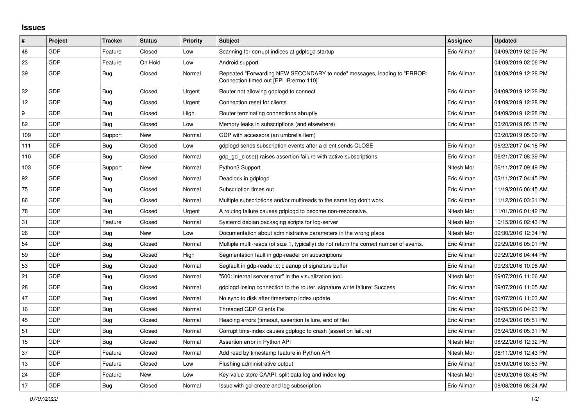## **Issues**

| #                | Project    | <b>Tracker</b> | <b>Status</b> | Priority | <b>Subject</b>                                                                                                      | <b>Assignee</b> | <b>Updated</b>      |
|------------------|------------|----------------|---------------|----------|---------------------------------------------------------------------------------------------------------------------|-----------------|---------------------|
| 48               | GDP        | Feature        | Closed        | Low      | Scanning for corrupt indices at gdplogd startup                                                                     | Eric Allman     | 04/09/2019 02:09 PM |
| 23               | GDP        | Feature        | On Hold       | Low      | Android support                                                                                                     |                 | 04/09/2019 02:06 PM |
| 39               | GDP        | <b>Bug</b>     | Closed        | Normal   | Repeated "Forwarding NEW SECONDARY to node" messages, leading to "ERROR:<br>Connection timed out [EPLIB:errno:110]" | Eric Allman     | 04/09/2019 12:28 PM |
| 32               | GDP        | Bug            | Closed        | Urgent   | Router not allowing gdplogd to connect                                                                              | Eric Allman     | 04/09/2019 12:28 PM |
| 12               | GDP        | <b>Bug</b>     | Closed        | Urgent   | Connection reset for clients                                                                                        | Eric Allman     | 04/09/2019 12:28 PM |
| $\boldsymbol{9}$ | GDP        | <b>Bug</b>     | Closed        | High     | Router terminating connections abruptly                                                                             | Eric Allman     | 04/09/2019 12:28 PM |
| 82               | GDP        | Bug            | Closed        | Low      | Memory leaks in subscriptions (and elsewhere)                                                                       | Eric Allman     | 03/20/2019 05:15 PM |
| 109              | GDP        | Support        | New           | Normal   | GDP with accessors (an umbrella item)                                                                               |                 | 03/20/2019 05:09 PM |
| 111              | GDP        | Bug            | Closed        | Low      | gdplogd sends subscription events after a client sends CLOSE                                                        | Eric Allman     | 06/22/2017 04:18 PM |
| 110              | GDP        | Bug            | Closed        | Normal   | gdp gcl close() raises assertion failure with active subscriptions                                                  | Eric Allman     | 06/21/2017 08:39 PM |
| 103              | GDP        | Support        | New           | Normal   | Python3 Support                                                                                                     | Nitesh Mor      | 06/11/2017 09:49 PM |
| 92               | GDP        | Bug            | Closed        | Normal   | Deadlock in gdplogd                                                                                                 | Eric Allman     | 03/11/2017 04:45 PM |
| 75               | GDP        | Bug            | Closed        | Normal   | Subscription times out                                                                                              | Eric Allman     | 11/19/2016 06:45 AM |
| 86               | GDP        | Bug            | Closed        | Normal   | Multiple subscriptions and/or multireads to the same log don't work                                                 | Eric Allman     | 11/12/2016 03:31 PM |
| 78               | GDP        | Bug            | Closed        | Urgent   | A routing failure causes gdplogd to become non-responsive.                                                          | Nitesh Mor      | 11/01/2016 01:42 PM |
| 31               | GDP        | Feature        | Closed        | Normal   | Systemd debian packaging scripts for log-server                                                                     | Nitesh Mor      | 10/15/2016 02:43 PM |
| 26               | GDP        | Bug            | New           | Low      | Documentation about administrative parameters in the wrong place                                                    | Nitesh Mor      | 09/30/2016 12:34 PM |
| 54               | GDP        | Bug            | Closed        | Normal   | Multiple multi-reads (of size 1, typically) do not return the correct number of events.                             | Eric Allman     | 09/29/2016 05:01 PM |
| 59               | GDP        | <b>Bug</b>     | Closed        | High     | Segmentation fault in gdp-reader on subscriptions                                                                   | Eric Allman     | 09/29/2016 04:44 PM |
| 53               | GDP        | Bug            | Closed        | Normal   | Segfault in gdp-reader.c; cleanup of signature buffer                                                               | Eric Allman     | 09/23/2016 10:06 AM |
| 21               | GDP        | <b>Bug</b>     | Closed        | Normal   | '500: internal server error" in the visualization tool.                                                             | Nitesh Mor      | 09/07/2016 11:06 AM |
| 28               | <b>GDP</b> | Bug            | Closed        | Normal   | gdplogd losing connection to the router, signature write failure: Success                                           | Eric Allman     | 09/07/2016 11:05 AM |
| 47               | GDP        | Bug            | Closed        | Normal   | No sync to disk after timestamp index update                                                                        | Eric Allman     | 09/07/2016 11:03 AM |
| 16               | GDP        | Bug            | Closed        | Normal   | <b>Threaded GDP Clients Fail</b>                                                                                    | Eric Allman     | 09/05/2016 04:23 PM |
| 45               | GDP        | Bug            | Closed        | Normal   | Reading errors (timeout, assertion failure, end of file)                                                            | Eric Allman     | 08/24/2016 05:51 PM |
| 51               | GDP        | <b>Bug</b>     | Closed        | Normal   | Corrupt time-index causes gdplogd to crash (assertion failure)                                                      | Eric Allman     | 08/24/2016 05:31 PM |
| 15               | GDP        | Bug            | Closed        | Normal   | Assertion error in Python API                                                                                       | Nitesh Mor      | 08/22/2016 12:32 PM |
| 37               | GDP        | Feature        | Closed        | Normal   | Add read by timestamp feature in Python API                                                                         | Nitesh Mor      | 08/11/2016 12:43 PM |
| 13               | <b>GDP</b> | Feature        | Closed        | Low      | Flushing administrative output                                                                                      | Eric Allman     | 08/09/2016 03:53 PM |
| 24               | GDP        | Feature        | New           | Low      | Key-value store CAAPI: split data log and index log                                                                 | Nitesh Mor      | 08/09/2016 03:48 PM |
| 17               | GDP        | Bug            | Closed        | Normal   | Issue with gcl-create and log subscription                                                                          | Eric Allman     | 08/08/2016 08:24 AM |